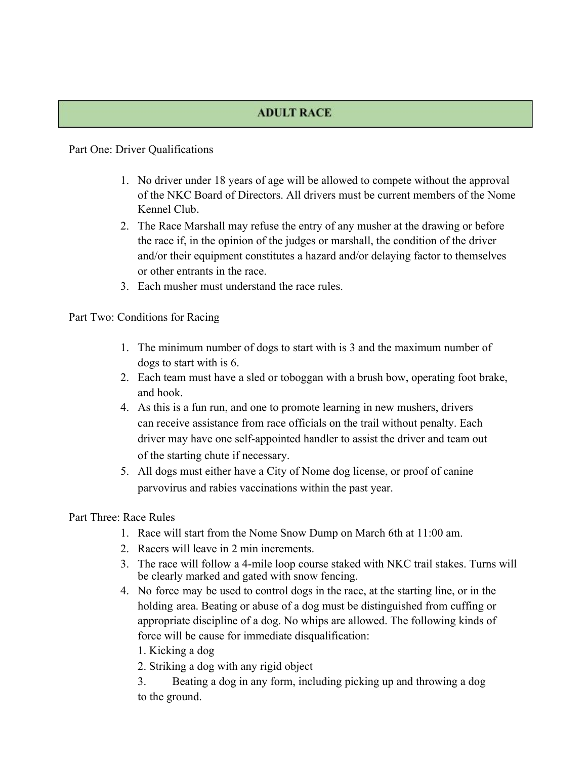### **ADULT RACE**

#### Part One: Driver Qualifications

- 1. No driver under 18 years of age will be allowed to compete without the approval of the NKC Board of Directors. All drivers must be current members of the Nome Kennel Club.
- 2. The Race Marshall may refuse the entry of any musher at the drawing or before the race if, in the opinion of the judges or marshall, the condition of the driver and/or their equipment constitutes a hazard and/or delaying factor to themselves or other entrants in the race.
- 3. Each musher must understand the race rules.

Part Two: Conditions for Racing

- 1. The minimum number of dogs to start with is 3 and the maximum number of dogs to start with is 6.
- 2. Each team must have a sled or toboggan with a brush bow, operating foot brake, and hook.
- 4. As this is a fun run, and one to promote learning in new mushers, drivers can receive assistance from race officials on the trail without penalty. Each driver may have one self-appointed handler to assist the driver and team out of the starting chute if necessary.
- 5. All dogs must either have a City of Nome dog license, or proof of canine parvovirus and rabies vaccinations within the past year.

### Part Three: Race Rules

- 1. Race will start from the Nome Snow Dump on March 6th at 11:00 am.
- 2. Racers will leave in 2 min increments.
- 3. The race will follow a 4-mile loop course staked with NKC trail stakes. Turns will be clearly marked and gated with snow fencing.
- 4. No force may be used to control dogs in the race, at the starting line, or in the holding area. Beating or abuse of a dog must be distinguished from cuffing or appropriate discipline of a dog. No whips are allowed. The following kinds of force will be cause for immediate disqualification:
	- 1. Kicking a dog
	- 2. Striking a dog with any rigid object
	- 3. Beating a dog in any form, including picking up and throwing a dog to the ground.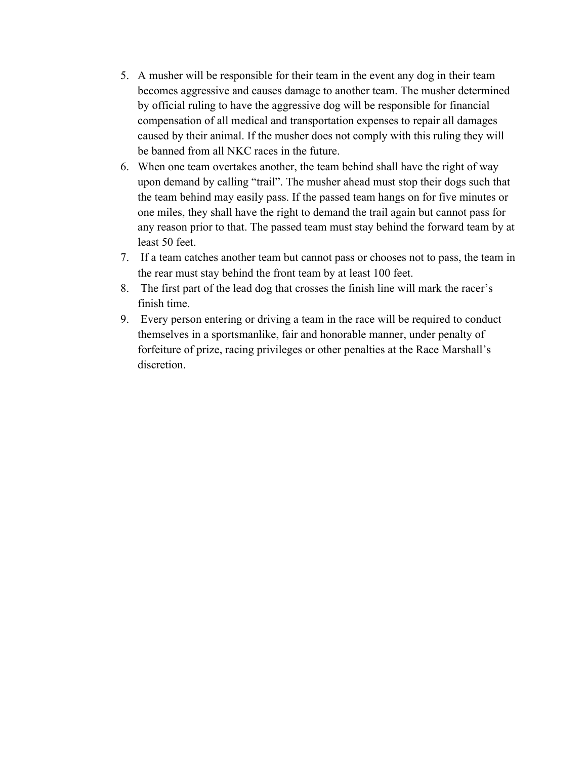- 5. A musher will be responsible for their team in the event any dog in their team becomes aggressive and causes damage to another team. The musher determined by official ruling to have the aggressive dog will be responsible for financial compensation of all medical and transportation expenses to repair all damages caused by their animal. If the musher does not comply with this ruling they will be banned from all NKC races in the future.
- 6. When one team overtakes another, the team behind shall have the right of way upon demand by calling "trail". The musher ahead must stop their dogs such that the team behind may easily pass. If the passed team hangs on for five minutes or one miles, they shall have the right to demand the trail again but cannot pass for any reason prior to that. The passed team must stay behind the forward team by at least 50 feet.
- 7. If a team catches another team but cannot pass or chooses not to pass, the team in the rear must stay behind the front team by at least 100 feet.
- 8. The first part of the lead dog that crosses the finish line will mark the racer's finish time.
- 9. Every person entering or driving a team in the race will be required to conduct themselves in a sportsmanlike, fair and honorable manner, under penalty of forfeiture of prize, racing privileges or other penalties at the Race Marshall's discretion.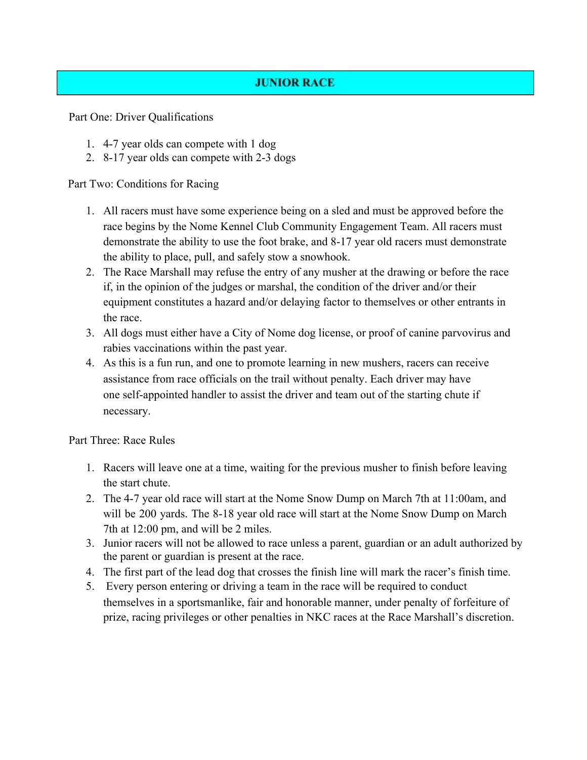# **JUNIOR RACE**

Part One: Driver Qualifications

- 1. 4-7 year olds can compete with 1 dog
- 2. 8-17 year olds can compete with 2-3 dogs

Part Two: Conditions for Racing

- 1. All racers must have some experience being on a sled and must be approved before the race begins by the Nome Kennel Club Community Engagement Team. All racers must demonstrate the ability to use the foot brake, and 8-17 year old racers must demonstrate the ability to place, pull, and safely stow a snowhook.
- 2. The Race Marshall may refuse the entry of any musher at the drawing or before the race if, in the opinion of the judges or marshal, the condition of the driver and/or their equipment constitutes a hazard and/or delaying factor to themselves or other entrants in the race.
- 3. All dogs must either have a City of Nome dog license, or proof of canine parvovirus and rabies vaccinations within the past year.
- 4. As this is a fun run, and one to promote learning in new mushers, racers can receive assistance from race officials on the trail without penalty. Each driver may have one self-appointed handler to assist the driver and team out of the starting chute if necessary.

Part Three: Race Rules

- 1. Racers will leave one at a time, waiting for the previous musher to finish before leaving the start chute.
- 2. The 4-7 year old race will start at the Nome Snow Dump on March 7th at 11:00am, and will be 200 yards. The 8-18 year old race will start at the Nome Snow Dump on March 7th at 12:00 pm, and will be 2 miles.
- 3. Junior racers will not be allowed to race unless a parent, guardian or an adult authorized by the parent or guardian is present at the race.
- 4. The first part of the lead dog that crosses the finish line will mark the racer's finish time.
- 5. Every person entering or driving a team in the race will be required to conduct themselves in a sportsmanlike, fair and honorable manner, under penalty of forfeiture of prize, racing privileges or other penalties in NKC races at the Race Marshall's discretion.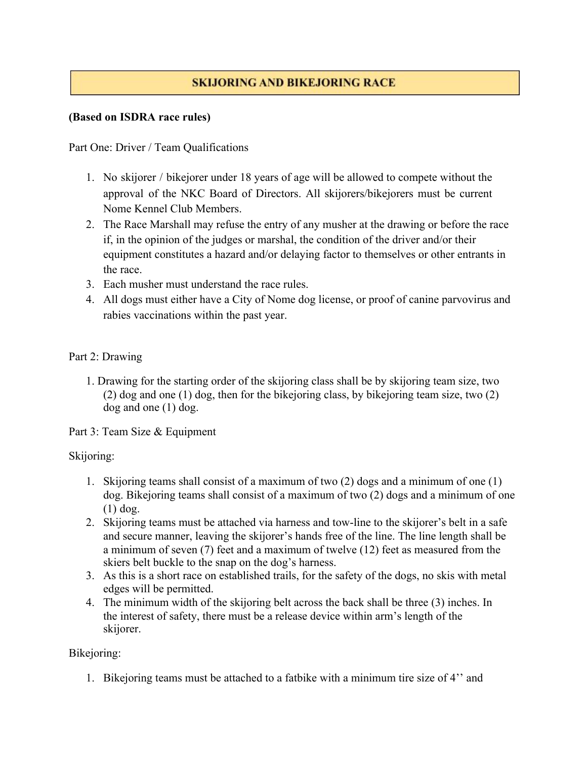# **SKIJORING AND BIKEJORING RACE**

### **(Based on ISDRA race rules)**

Part One: Driver / Team Qualifications

- 1. No skijorer / bikejorer under 18 years of age will be allowed to compete without the approval of the NKC Board of Directors. All skijorers/bikejorers must be current Nome Kennel Club Members.
- 2. The Race Marshall may refuse the entry of any musher at the drawing or before the race if, in the opinion of the judges or marshal, the condition of the driver and/or their equipment constitutes a hazard and/or delaying factor to themselves or other entrants in the race.
- 3. Each musher must understand the race rules.
- 4. All dogs must either have a City of Nome dog license, or proof of canine parvovirus and rabies vaccinations within the past year.

### Part 2: Drawing

1. Drawing for the starting order of the skijoring class shall be by skijoring team size, two (2) dog and one (1) dog, then for the bikejoring class, by bikejoring team size, two (2) dog and one (1) dog.

Part 3: Team Size & Equipment

### Skijoring:

- 1. Skijoring teams shall consist of a maximum of two (2) dogs and a minimum of one (1) dog. Bikejoring teams shall consist of a maximum of two (2) dogs and a minimum of one (1) dog.
- 2. Skijoring teams must be attached via harness and tow-line to the skijorer's belt in a safe and secure manner, leaving the skijorer's hands free of the line. The line length shall be a minimum of seven (7) feet and a maximum of twelve (12) feet as measured from the skiers belt buckle to the snap on the dog's harness.
- 3. As this is a short race on established trails, for the safety of the dogs, no skis with metal edges will be permitted.
- 4. The minimum width of the skijoring belt across the back shall be three (3) inches. In the interest of safety, there must be a release device within arm's length of the skijorer.

### Bikejoring:

1. Bikejoring teams must be attached to a fatbike with a minimum tire size of 4'' and